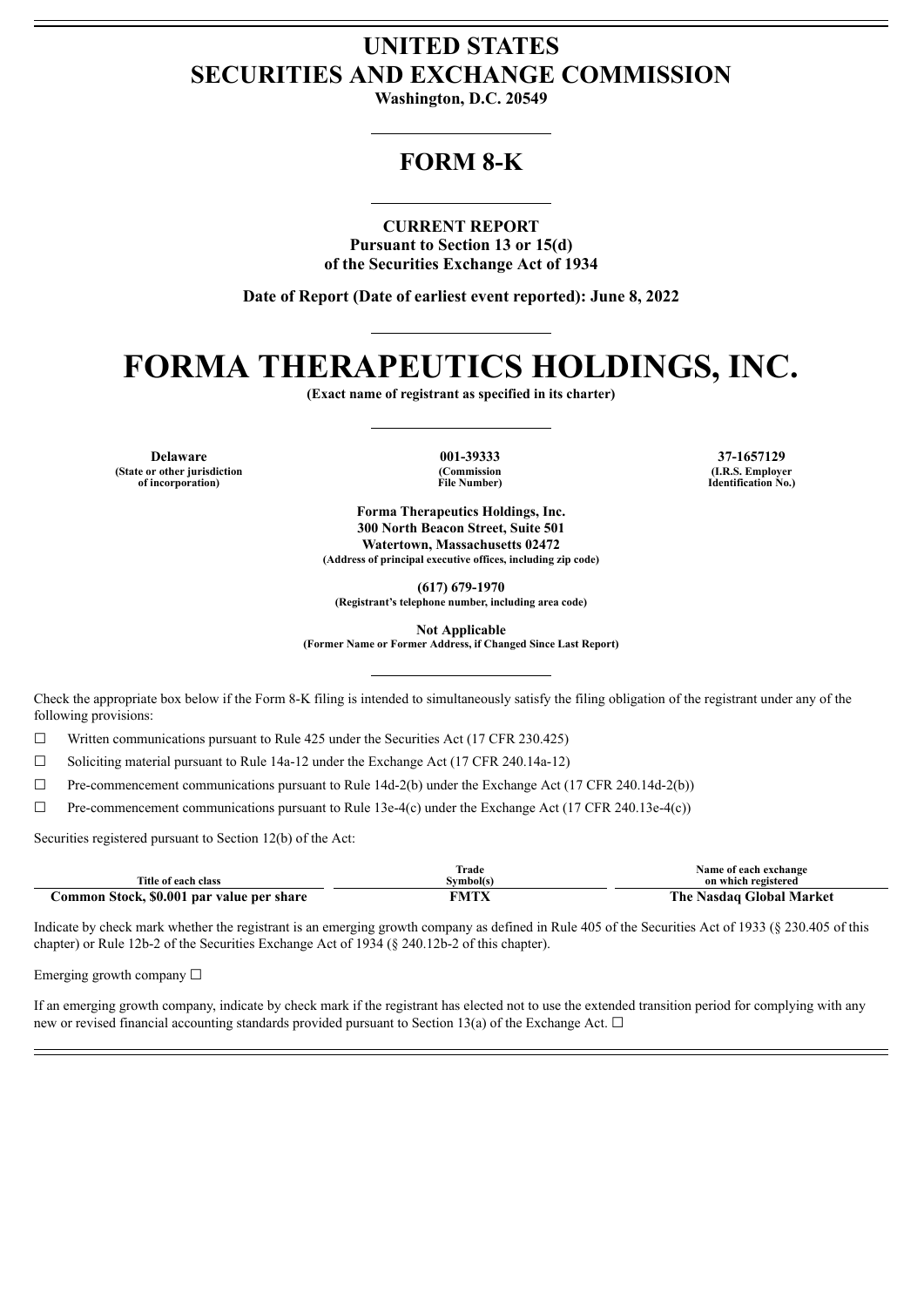## **UNITED STATES SECURITIES AND EXCHANGE COMMISSION**

**Washington, D.C. 20549**

## **FORM 8-K**

**CURRENT REPORT**

**Pursuant to Section 13 or 15(d) of the Securities Exchange Act of 1934**

**Date of Report (Date of earliest event reported): June 8, 2022**

# **FORMA THERAPEUTICS HOLDINGS, INC.**

**(Exact name of registrant as specified in its charter)**

**Delaware 001-39333 37-1657129 (State or other jurisdiction of incorporation)**

**(Commission File Number)**

**(I.R.S. Employer Identification No.)**

**Forma Therapeutics Holdings, Inc. 300 North Beacon Street, Suite 501 Watertown, Massachusetts 02472 (Address of principal executive offices, including zip code)**

**(617) 679-1970**

**(Registrant's telephone number, including area code)**

**Not Applicable**

**(Former Name or Former Address, if Changed Since Last Report)**

Check the appropriate box below if the Form 8-K filing is intended to simultaneously satisfy the filing obligation of the registrant under any of the following provisions:

 $\Box$  Written communications pursuant to Rule 425 under the Securities Act (17 CFR 230.425)

 $\Box$  Soliciting material pursuant to Rule 14a-12 under the Exchange Act (17 CFR 240.14a-12)

 $\Box$  Pre-commencement communications pursuant to Rule 14d-2(b) under the Exchange Act (17 CFR 240.14d-2(b))

 $\Box$  Pre-commencement communications pursuant to Rule 13e-4(c) under the Exchange Act (17 CFR 240.13e-4(c))

Securities registered pursuant to Section 12(b) of the Act:

| Title of each class                       | Trade<br>Svmbol(s) | Name of each exchange<br>on which registered |  |
|-------------------------------------------|--------------------|----------------------------------------------|--|
| Common Stock, \$0.001 par value per share | FMTX               | The Nasdaq Global Market                     |  |

Indicate by check mark whether the registrant is an emerging growth company as defined in Rule 405 of the Securities Act of 1933 (§ 230.405 of this chapter) or Rule 12b-2 of the Securities Exchange Act of 1934 (§ 240.12b-2 of this chapter).

Emerging growth company  $\Box$ 

If an emerging growth company, indicate by check mark if the registrant has elected not to use the extended transition period for complying with any new or revised financial accounting standards provided pursuant to Section 13(a) of the Exchange Act.  $\Box$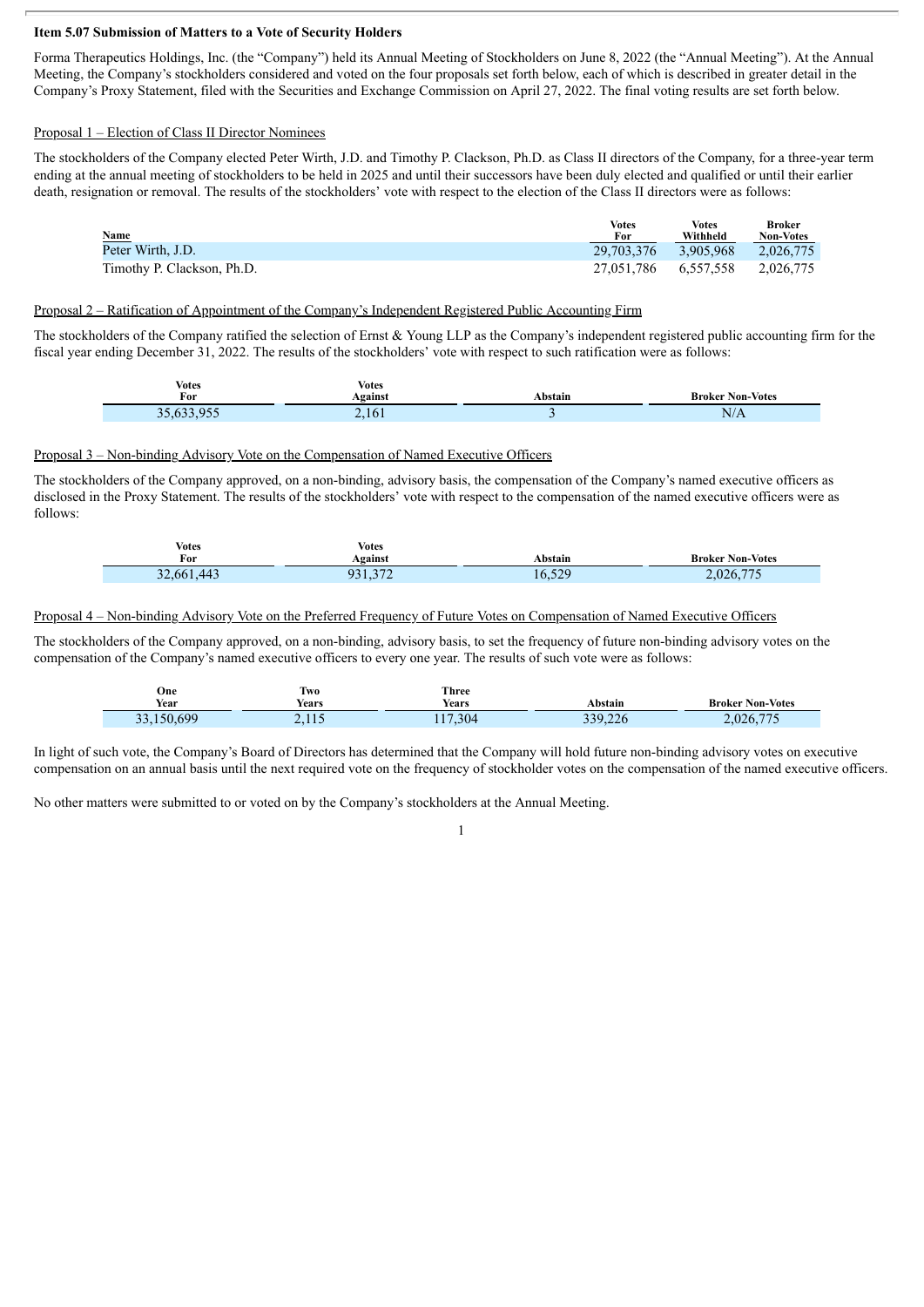#### **Item 5.07 Submission of Matters to a Vote of Security Holders**

Forma Therapeutics Holdings, Inc. (the "Company") held its Annual Meeting of Stockholders on June 8, 2022 (the "Annual Meeting"). At the Annual Meeting, the Company's stockholders considered and voted on the four proposals set forth below, each of which is described in greater detail in the Company's Proxy Statement, filed with the Securities and Exchange Commission on April 27, 2022. The final voting results are set forth below.

#### Proposal 1 – Election of Class II Director Nominees

The stockholders of the Company elected Peter Wirth, J.D. and Timothy P. Clackson, Ph.D. as Class II directors of the Company, for a three-year term ending at the annual meeting of stockholders to be held in 2025 and until their successors have been duly elected and qualified or until their earlier death, resignation or removal. The results of the stockholders' vote with respect to the election of the Class II directors were as follows:

| Name                       | <b>Votes</b><br>For  | <b>Votes</b><br>Withheld | <b>Broker</b><br><b>Non-Votes</b> |
|----------------------------|----------------------|--------------------------|-----------------------------------|
| Peter Wirth, J.D.          | 29.703.376 3.905.968 |                          | 2.026.775                         |
| Timothy P. Clackson, Ph.D. | 27,051,786 6,557,558 |                          | 2.026.775                         |

#### Proposal 2 – Ratification of Appointment of the Company's Independent Registered Public Accounting Firm

The stockholders of the Company ratified the selection of Ernst & Young LLP as the Company's independent registered public accounting firm for the fiscal year ending December 31, 2022. The results of the stockholders' vote with respect to such ratification were as follows:

| <b>Votes</b>  | Votes   |         |                                         |
|---------------|---------|---------|-----------------------------------------|
| For           | Against | Abstain | <b>Broker Non-Votes</b>                 |
| (22.0)<br>n r | 2,161   |         | NI/<br>$1$ Y/ $\boldsymbol{\varLambda}$ |

#### Proposal 3 – Non-binding Advisory Vote on the Compensation of Named Executive Officers

The stockholders of the Company approved, on a non-binding, advisory basis, the compensation of the Company's named executive officers as disclosed in the Proxy Statement. The results of the stockholders' vote with respect to the compensation of the named executive officers were as follows:

| <b>Votes</b><br>For | <b>Votes</b><br>Against     | Abstain | <b>Broker Non-Votes</b> |
|---------------------|-----------------------------|---------|-------------------------|
| 32,661,443          | 272<br>ے <i>ا</i> ر ۔ ۔ ۔ ' | 16,529  | 2,026,775               |

#### Proposal 4 – Non-binding Advisory Vote on the Preferred Frequency of Future Votes on Compensation of Named Executive Officers

The stockholders of the Company approved, on a non-binding, advisory basis, to set the frequency of future non-binding advisory votes on the compensation of the Company's named executive officers to every one year. The results of such vote were as follows:

| One<br>Year                              | Two<br>$ -$<br>rears) | Three<br>$ -$<br>Years | Abstain                | <b>Broker Non-Votes</b> |
|------------------------------------------|-----------------------|------------------------|------------------------|-------------------------|
| 50,600<br>$\mathcal{L}$<br>$\rightarrow$ | 2.11                  | , 304                  | $\sim$<br>220<br>9.226 | 775<br>2,026,7<br>ن ا   |

In light of such vote, the Company's Board of Directors has determined that the Company will hold future non-binding advisory votes on executive compensation on an annual basis until the next required vote on the frequency of stockholder votes on the compensation of the named executive officers.

1

No other matters were submitted to or voted on by the Company's stockholders at the Annual Meeting.